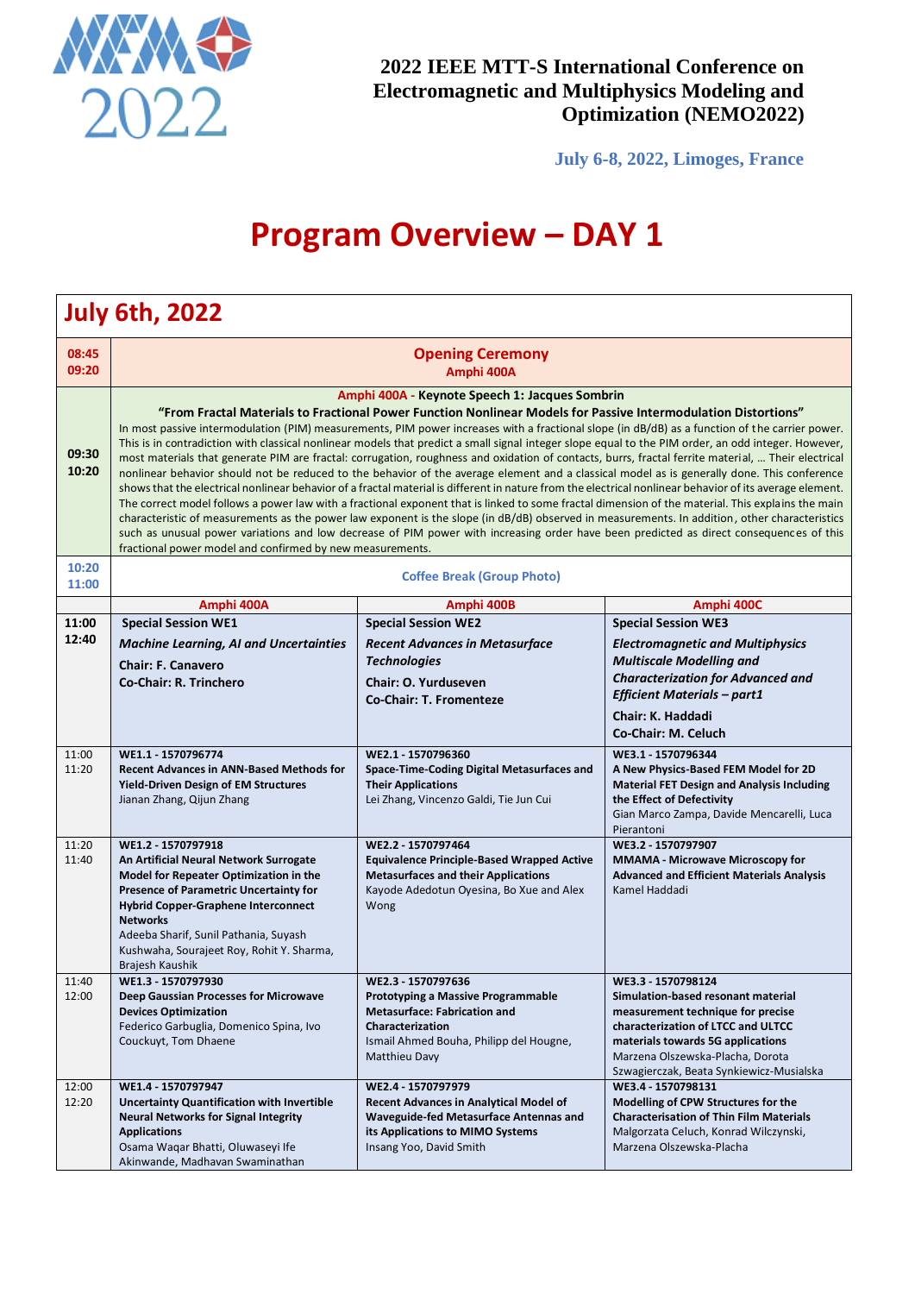

**July 6-8, 2022, Limoges, France**

# **Program Overview – DAY 1**

|                | <b>July 6th, 2022</b>                                                                                                                                                                                                                                                                                                                                                                                                                                                                                                                                                                                                                                                                                                                                                                                                                                                                                                                                                                                                                                                                                                                                                                                                                                                                                                                                                                                                                                    |                                                                                                                                                                                        |                                                                                                                                                                                                                                                          |  |
|----------------|----------------------------------------------------------------------------------------------------------------------------------------------------------------------------------------------------------------------------------------------------------------------------------------------------------------------------------------------------------------------------------------------------------------------------------------------------------------------------------------------------------------------------------------------------------------------------------------------------------------------------------------------------------------------------------------------------------------------------------------------------------------------------------------------------------------------------------------------------------------------------------------------------------------------------------------------------------------------------------------------------------------------------------------------------------------------------------------------------------------------------------------------------------------------------------------------------------------------------------------------------------------------------------------------------------------------------------------------------------------------------------------------------------------------------------------------------------|----------------------------------------------------------------------------------------------------------------------------------------------------------------------------------------|----------------------------------------------------------------------------------------------------------------------------------------------------------------------------------------------------------------------------------------------------------|--|
| 08:45<br>09:20 | <b>Opening Ceremony</b><br>Amphi 400A                                                                                                                                                                                                                                                                                                                                                                                                                                                                                                                                                                                                                                                                                                                                                                                                                                                                                                                                                                                                                                                                                                                                                                                                                                                                                                                                                                                                                    |                                                                                                                                                                                        |                                                                                                                                                                                                                                                          |  |
| 09:30<br>10:20 | Amphi 400A - Keynote Speech 1: Jacques Sombrin<br>"From Fractal Materials to Fractional Power Function Nonlinear Models for Passive Intermodulation Distortions"<br>In most passive intermodulation (PIM) measurements, PIM power increases with a fractional slope (in dB/dB) as a function of the carrier power.<br>This is in contradiction with classical nonlinear models that predict a small signal integer slope equal to the PIM order, an odd integer. However,<br>most materials that generate PIM are fractal: corrugation, roughness and oxidation of contacts, burrs, fractal ferrite material,  Their electrical<br>nonlinear behavior should not be reduced to the behavior of the average element and a classical model as is generally done. This conference<br>shows that the electrical nonlinear behavior of a fractal material is different in nature from the electrical nonlinear behavior of its average element.<br>The correct model follows a power law with a fractional exponent that is linked to some fractal dimension of the material. This explains the main<br>characteristic of measurements as the power law exponent is the slope (in dB/dB) observed in measurements. In addition, other characteristics<br>such as unusual power variations and low decrease of PIM power with increasing order have been predicted as direct consequences of this<br>fractional power model and confirmed by new measurements. |                                                                                                                                                                                        |                                                                                                                                                                                                                                                          |  |
| 10:20<br>11:00 |                                                                                                                                                                                                                                                                                                                                                                                                                                                                                                                                                                                                                                                                                                                                                                                                                                                                                                                                                                                                                                                                                                                                                                                                                                                                                                                                                                                                                                                          | <b>Coffee Break (Group Photo)</b>                                                                                                                                                      |                                                                                                                                                                                                                                                          |  |
|                | Amphi 400A                                                                                                                                                                                                                                                                                                                                                                                                                                                                                                                                                                                                                                                                                                                                                                                                                                                                                                                                                                                                                                                                                                                                                                                                                                                                                                                                                                                                                                               | Amphi 400B                                                                                                                                                                             | Amphi 400C                                                                                                                                                                                                                                               |  |
| 11:00          | <b>Special Session WE1</b>                                                                                                                                                                                                                                                                                                                                                                                                                                                                                                                                                                                                                                                                                                                                                                                                                                                                                                                                                                                                                                                                                                                                                                                                                                                                                                                                                                                                                               | <b>Special Session WE2</b>                                                                                                                                                             | <b>Special Session WE3</b>                                                                                                                                                                                                                               |  |
| 12:40          | <b>Machine Learning, AI and Uncertainties</b><br><b>Chair: F. Canavero</b><br>Co-Chair: R. Trinchero                                                                                                                                                                                                                                                                                                                                                                                                                                                                                                                                                                                                                                                                                                                                                                                                                                                                                                                                                                                                                                                                                                                                                                                                                                                                                                                                                     | <b>Recent Advances in Metasurface</b><br><b>Technologies</b><br><b>Chair: O. Yurduseven</b><br><b>Co-Chair: T. Fromenteze</b>                                                          | <b>Electromagnetic and Multiphysics</b><br><b>Multiscale Modelling and</b><br><b>Characterization for Advanced and</b><br><b>Efficient Materials - part1</b><br>Chair: K. Haddadi<br>Co-Chair: M. Celuch                                                 |  |
| 11:00<br>11:20 | WE1.1 - 1570796774<br><b>Recent Advances in ANN-Based Methods for</b><br><b>Yield-Driven Design of EM Structures</b><br>Jianan Zhang, Qijun Zhang                                                                                                                                                                                                                                                                                                                                                                                                                                                                                                                                                                                                                                                                                                                                                                                                                                                                                                                                                                                                                                                                                                                                                                                                                                                                                                        | WE2.1 - 1570796360<br>Space-Time-Coding Digital Metasurfaces and<br><b>Their Applications</b><br>Lei Zhang, Vincenzo Galdi, Tie Jun Cui                                                | WE3.1 - 1570796344<br>A New Physics-Based FEM Model for 2D<br><b>Material FET Design and Analysis Including</b><br>the Effect of Defectivity<br>Gian Marco Zampa, Davide Mencarelli, Luca<br>Pierantoni                                                  |  |
| 11:20<br>11:40 | WE1.2 - 1570797918<br>An Artificial Neural Network Surrogate<br>Model for Repeater Optimization in the<br><b>Presence of Parametric Uncertainty for</b><br><b>Hybrid Copper-Graphene Interconnect</b><br><b>Networks</b><br>Adeeba Sharif, Sunil Pathania, Suyash<br>Kushwaha, Sourajeet Roy, Rohit Y. Sharma,<br>Brajesh Kaushik                                                                                                                                                                                                                                                                                                                                                                                                                                                                                                                                                                                                                                                                                                                                                                                                                                                                                                                                                                                                                                                                                                                        | WE2.2 - 1570797464<br><b>Equivalence Principle-Based Wrapped Active</b><br><b>Metasurfaces and their Applications</b><br>Kayode Adedotun Oyesina, Bo Xue and Alex<br>Wong              | WE3.2 - 1570797907<br><b>MMAMA</b> - Microwave Microscopy for<br><b>Advanced and Efficient Materials Analysis</b><br>Kamel Haddadi                                                                                                                       |  |
| 11:40<br>12:00 | WE1.3 - 1570797930<br>Deep Gaussian Processes for Microwave<br><b>Devices Optimization</b><br>Federico Garbuglia, Domenico Spina, Ivo<br>Couckuyt, Tom Dhaene                                                                                                                                                                                                                                                                                                                                                                                                                                                                                                                                                                                                                                                                                                                                                                                                                                                                                                                                                                                                                                                                                                                                                                                                                                                                                            | WE2.3 - 1570797636<br><b>Prototyping a Massive Programmable</b><br><b>Metasurface: Fabrication and</b><br>Characterization<br>Ismail Ahmed Bouha, Philipp del Hougne,<br>Matthieu Davy | WE3.3 - 1570798124<br>Simulation-based resonant material<br>measurement technique for precise<br>characterization of LTCC and ULTCC<br>materials towards 5G applications<br>Marzena Olszewska-Placha, Dorota<br>Szwagierczak, Beata Synkiewicz-Musialska |  |
| 12:00<br>12:20 | WE1.4 - 1570797947<br><b>Uncertainty Quantification with Invertible</b><br><b>Neural Networks for Signal Integrity</b><br><b>Applications</b><br>Osama Waqar Bhatti, Oluwaseyi Ife<br>Akinwande, Madhavan Swaminathan                                                                                                                                                                                                                                                                                                                                                                                                                                                                                                                                                                                                                                                                                                                                                                                                                                                                                                                                                                                                                                                                                                                                                                                                                                    | WE2.4 - 1570797979<br><b>Recent Advances in Analytical Model of</b><br>Waveguide-fed Metasurface Antennas and<br>its Applications to MIMO Systems<br>Insang Yoo, David Smith           | WE3.4 - 1570798131<br>Modelling of CPW Structures for the<br><b>Characterisation of Thin Film Materials</b><br>Malgorzata Celuch, Konrad Wilczynski,<br>Marzena Olszewska-Placha                                                                         |  |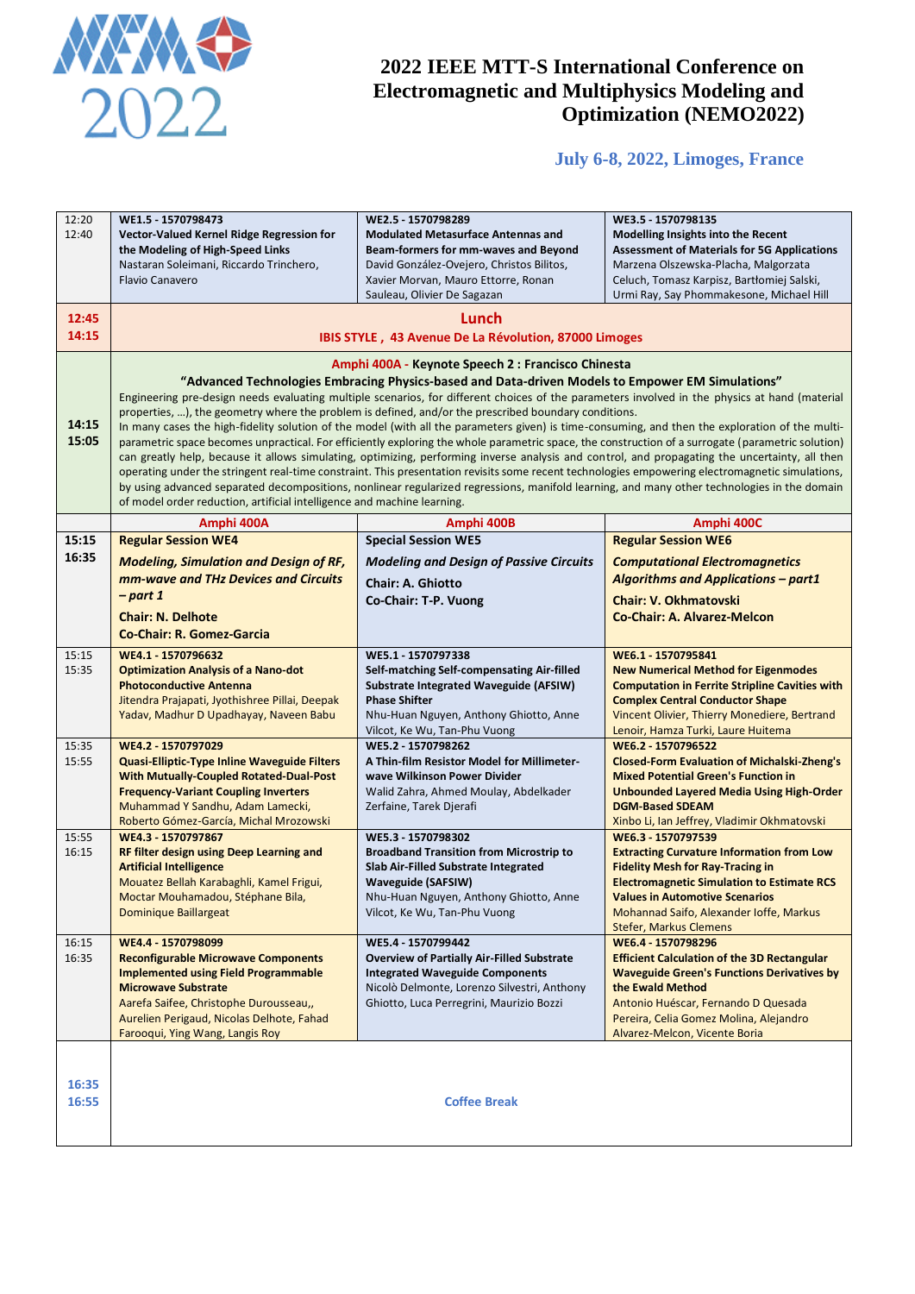

# **July 6-8, 2022, Limoges, France**

| 12:20<br>12:40 | WE1.5 - 1570798473<br>Vector-Valued Kernel Ridge Regression for<br>the Modeling of High-Speed Links<br>Nastaran Soleimani, Riccardo Trinchero,<br><b>Flavio Canavero</b>                                                                                                                                                                                                                                                                                                                                                                                                                                                                                                                                                                                                                                                                                                                                                                                                                                                                                                                                                                                                                                                                               | WE2.5 - 1570798289<br><b>Modulated Metasurface Antennas and</b><br>Beam-formers for mm-waves and Beyond<br>David González-Ovejero, Christos Bilitos,<br>Xavier Morvan, Mauro Ettorre, Ronan<br>Sauleau, Olivier De Sagazan | WE3.5 - 1570798135<br>Modelling Insights into the Recent<br><b>Assessment of Materials for 5G Applications</b><br>Marzena Olszewska-Placha, Malgorzata<br>Celuch, Tomasz Karpisz, Bartłomiej Salski,<br>Urmi Ray, Say Phommakesone, Michael Hill                      |
|----------------|--------------------------------------------------------------------------------------------------------------------------------------------------------------------------------------------------------------------------------------------------------------------------------------------------------------------------------------------------------------------------------------------------------------------------------------------------------------------------------------------------------------------------------------------------------------------------------------------------------------------------------------------------------------------------------------------------------------------------------------------------------------------------------------------------------------------------------------------------------------------------------------------------------------------------------------------------------------------------------------------------------------------------------------------------------------------------------------------------------------------------------------------------------------------------------------------------------------------------------------------------------|----------------------------------------------------------------------------------------------------------------------------------------------------------------------------------------------------------------------------|-----------------------------------------------------------------------------------------------------------------------------------------------------------------------------------------------------------------------------------------------------------------------|
| 12:45<br>14:15 | Lunch<br>IBIS STYLE, 43 Avenue De La Révolution, 87000 Limoges                                                                                                                                                                                                                                                                                                                                                                                                                                                                                                                                                                                                                                                                                                                                                                                                                                                                                                                                                                                                                                                                                                                                                                                         |                                                                                                                                                                                                                            |                                                                                                                                                                                                                                                                       |
| 14:15<br>15:05 | Amphi 400A - Keynote Speech 2 : Francisco Chinesta<br>"Advanced Technologies Embracing Physics-based and Data-driven Models to Empower EM Simulations"<br>Engineering pre-design needs evaluating multiple scenarios, for different choices of the parameters involved in the physics at hand (material<br>properties, ), the geometry where the problem is defined, and/or the prescribed boundary conditions.<br>In many cases the high-fidelity solution of the model (with all the parameters given) is time-consuming, and then the exploration of the multi-<br>parametric space becomes unpractical. For efficiently exploring the whole parametric space, the construction of a surrogate (parametric solution)<br>can greatly help, because it allows simulating, optimizing, performing inverse analysis and control, and propagating the uncertainty, all then<br>operating under the stringent real-time constraint. This presentation revisits some recent technologies empowering electromagnetic simulations,<br>by using advanced separated decompositions, nonlinear regularized regressions, manifold learning, and many other technologies in the domain<br>of model order reduction, artificial intelligence and machine learning. |                                                                                                                                                                                                                            |                                                                                                                                                                                                                                                                       |
|                | Amphi 400A                                                                                                                                                                                                                                                                                                                                                                                                                                                                                                                                                                                                                                                                                                                                                                                                                                                                                                                                                                                                                                                                                                                                                                                                                                             | Amphi 400B                                                                                                                                                                                                                 | Amphi 400C                                                                                                                                                                                                                                                            |
| 15:15          | <b>Regular Session WE4</b>                                                                                                                                                                                                                                                                                                                                                                                                                                                                                                                                                                                                                                                                                                                                                                                                                                                                                                                                                                                                                                                                                                                                                                                                                             | <b>Special Session WE5</b>                                                                                                                                                                                                 | <b>Regular Session WE6</b>                                                                                                                                                                                                                                            |
| 16:35          | <b>Modeling, Simulation and Design of RF,</b>                                                                                                                                                                                                                                                                                                                                                                                                                                                                                                                                                                                                                                                                                                                                                                                                                                                                                                                                                                                                                                                                                                                                                                                                          | <b>Modeling and Design of Passive Circuits</b>                                                                                                                                                                             | <b>Computational Electromagnetics</b>                                                                                                                                                                                                                                 |
|                | mm-wave and THz Devices and Circuits                                                                                                                                                                                                                                                                                                                                                                                                                                                                                                                                                                                                                                                                                                                                                                                                                                                                                                                                                                                                                                                                                                                                                                                                                   | Chair: A. Ghiotto                                                                                                                                                                                                          | <b>Algorithms and Applications - part1</b>                                                                                                                                                                                                                            |
|                | – part 1                                                                                                                                                                                                                                                                                                                                                                                                                                                                                                                                                                                                                                                                                                                                                                                                                                                                                                                                                                                                                                                                                                                                                                                                                                               | Co-Chair: T-P. Vuong                                                                                                                                                                                                       | <b>Chair: V. Okhmatovski</b>                                                                                                                                                                                                                                          |
|                | <b>Chair: N. Delhote</b><br><b>Co-Chair: R. Gomez-Garcia</b>                                                                                                                                                                                                                                                                                                                                                                                                                                                                                                                                                                                                                                                                                                                                                                                                                                                                                                                                                                                                                                                                                                                                                                                           |                                                                                                                                                                                                                            | <b>Co-Chair: A. Alvarez-Melcon</b>                                                                                                                                                                                                                                    |
|                |                                                                                                                                                                                                                                                                                                                                                                                                                                                                                                                                                                                                                                                                                                                                                                                                                                                                                                                                                                                                                                                                                                                                                                                                                                                        |                                                                                                                                                                                                                            |                                                                                                                                                                                                                                                                       |
| 15:15<br>15:35 | WE4.1 - 1570796632<br><b>Optimization Analysis of a Nano-dot</b><br><b>Photoconductive Antenna</b><br>Jitendra Prajapati, Jyothishree Pillai, Deepak<br>Yadav, Madhur D Upadhayay, Naveen Babu                                                                                                                                                                                                                                                                                                                                                                                                                                                                                                                                                                                                                                                                                                                                                                                                                                                                                                                                                                                                                                                         | WE5.1 - 1570797338<br>Self-matching Self-compensating Air-filled<br><b>Substrate Integrated Waveguide (AFSIW)</b><br><b>Phase Shifter</b><br>Nhu-Huan Nguyen, Anthony Ghiotto, Anne<br>Vilcot, Ke Wu, Tan-Phu Vuong        | WE6.1 - 1570795841<br><b>New Numerical Method for Eigenmodes</b><br><b>Computation in Ferrite Stripline Cavities with</b><br><b>Complex Central Conductor Shape</b><br>Vincent Olivier, Thierry Monediere, Bertrand<br>Lenoir, Hamza Turki, Laure Huitema             |
| 15:35          | WE4.2 - 1570797029                                                                                                                                                                                                                                                                                                                                                                                                                                                                                                                                                                                                                                                                                                                                                                                                                                                                                                                                                                                                                                                                                                                                                                                                                                     | WE5.2 - 1570798262                                                                                                                                                                                                         | WE6.2 - 1570796522                                                                                                                                                                                                                                                    |
| 15:55          | <b>Quasi-Elliptic-Type Inline Waveguide Filters</b><br><b>With Mutually-Coupled Rotated-Dual-Post</b><br><b>Frequency-Variant Coupling Inverters</b><br>Muhammad Y Sandhu, Adam Lamecki,<br>Roberto Gómez-García, Michal Mrozowski                                                                                                                                                                                                                                                                                                                                                                                                                                                                                                                                                                                                                                                                                                                                                                                                                                                                                                                                                                                                                     | A Thin-film Resistor Model for Millimeter-<br>wave Wilkinson Power Divider<br>Walid Zahra, Ahmed Moulay, Abdelkader<br>Zerfaine, Tarek Djerafi                                                                             | <b>Closed-Form Evaluation of Michalski-Zheng's</b><br><b>Mixed Potential Green's Function in</b><br><b>Unbounded Layered Media Using High-Order</b><br><b>DGM-Based SDEAM</b><br>Xinbo Li, Ian Jeffrey, Vladimir Okhmatovski                                          |
| 15:55          | WE4.3 - 1570797867                                                                                                                                                                                                                                                                                                                                                                                                                                                                                                                                                                                                                                                                                                                                                                                                                                                                                                                                                                                                                                                                                                                                                                                                                                     | WE5.3 - 1570798302<br>WE6.3 - 1570797539                                                                                                                                                                                   |                                                                                                                                                                                                                                                                       |
| 16:15          | RF filter design using Deep Learning and<br><b>Artificial Intelligence</b><br>Mouatez Bellah Karabaghli, Kamel Frigui,<br>Moctar Mouhamadou, Stéphane Bila,<br>Dominique Baillargeat                                                                                                                                                                                                                                                                                                                                                                                                                                                                                                                                                                                                                                                                                                                                                                                                                                                                                                                                                                                                                                                                   | <b>Broadband Transition from Microstrip to</b><br>Slab Air-Filled Substrate Integrated<br>Waveguide (SAFSIW)<br>Nhu-Huan Nguyen, Anthony Ghiotto, Anne<br>Vilcot, Ke Wu, Tan-Phu Vuong                                     | <b>Extracting Curvature Information from Low</b><br><b>Fidelity Mesh for Ray-Tracing in</b><br><b>Electromagnetic Simulation to Estimate RCS</b><br><b>Values in Automotive Scenarios</b><br>Mohannad Saifo, Alexander Ioffe, Markus<br><b>Stefer, Markus Clemens</b> |
| 16:15<br>16:35 | WE4.4 - 1570798099<br><b>Reconfigurable Microwave Components</b><br><b>Implemented using Field Programmable</b><br><b>Microwave Substrate</b><br>Aarefa Saifee, Christophe Durousseau,,<br>Aurelien Perigaud, Nicolas Delhote, Fahad<br>Farooqui, Ying Wang, Langis Roy                                                                                                                                                                                                                                                                                                                                                                                                                                                                                                                                                                                                                                                                                                                                                                                                                                                                                                                                                                                | WE5.4 - 1570799442<br><b>Overview of Partially Air-Filled Substrate</b><br><b>Integrated Waveguide Components</b><br>Nicolò Delmonte, Lorenzo Silvestri, Anthony<br>Ghiotto, Luca Perregrini, Maurizio Bozzi               | WE6.4 - 1570798296<br><b>Efficient Calculation of the 3D Rectangular</b><br><b>Waveguide Green's Functions Derivatives by</b><br>the Ewald Method<br>Antonio Huéscar, Fernando D Quesada<br>Pereira, Celia Gomez Molina, Alejandro<br>Alvarez-Melcon, Vicente Boria   |
| 16:35<br>16:55 | <b>Coffee Break</b>                                                                                                                                                                                                                                                                                                                                                                                                                                                                                                                                                                                                                                                                                                                                                                                                                                                                                                                                                                                                                                                                                                                                                                                                                                    |                                                                                                                                                                                                                            |                                                                                                                                                                                                                                                                       |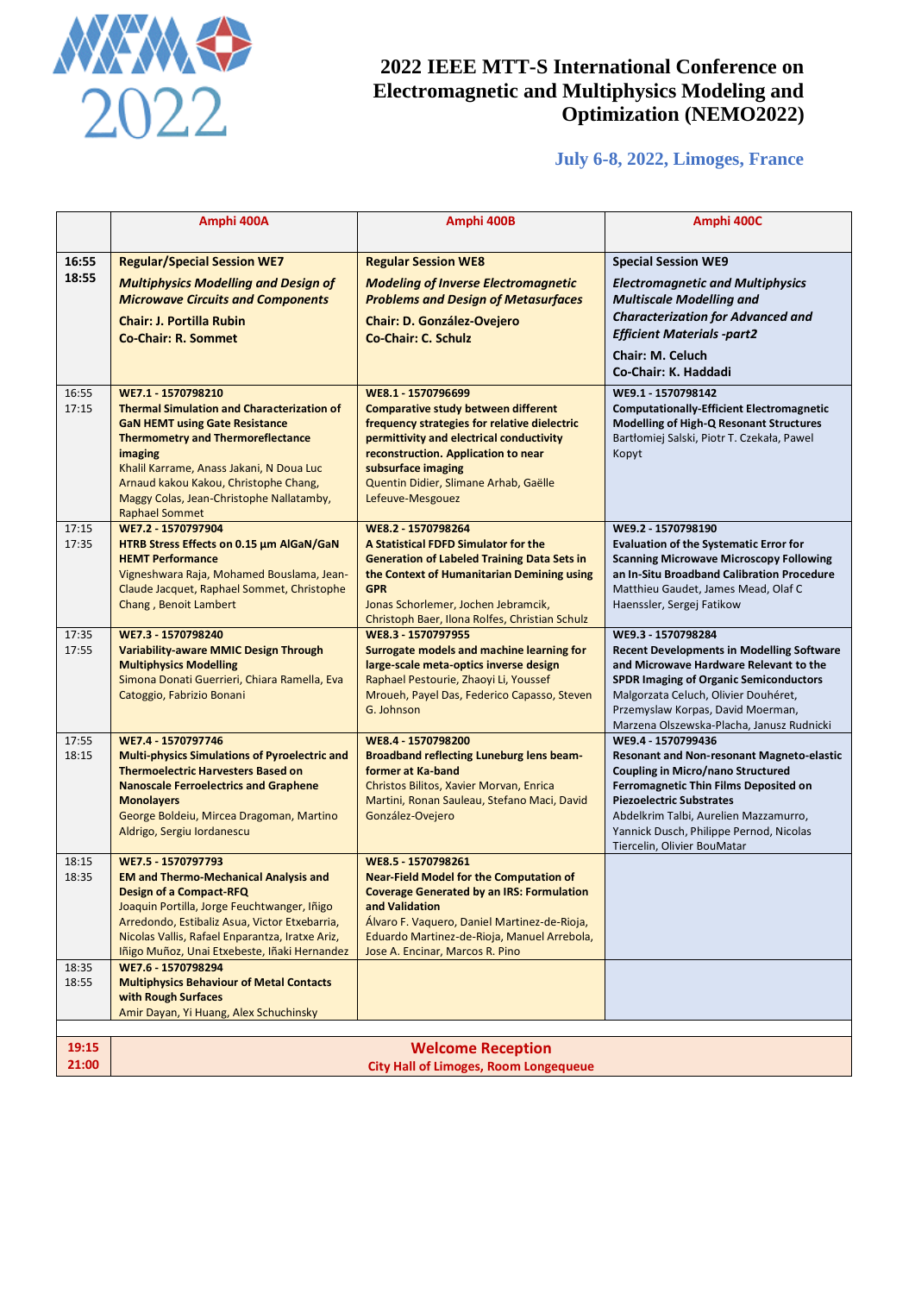

# **July 6-8, 2022, Limoges, France**

|                | Amphi 400A                                                                                                                                                                                                                                                                                                  | Amphi 400B                                                                                                                                                                                                                                                                   | Amphi 400C                                                                                                                                                                                                                                                                                                        |
|----------------|-------------------------------------------------------------------------------------------------------------------------------------------------------------------------------------------------------------------------------------------------------------------------------------------------------------|------------------------------------------------------------------------------------------------------------------------------------------------------------------------------------------------------------------------------------------------------------------------------|-------------------------------------------------------------------------------------------------------------------------------------------------------------------------------------------------------------------------------------------------------------------------------------------------------------------|
| 16:55          | <b>Regular/Special Session WE7</b>                                                                                                                                                                                                                                                                          | <b>Regular Session WE8</b>                                                                                                                                                                                                                                                   | <b>Special Session WE9</b>                                                                                                                                                                                                                                                                                        |
| 18:55          | <b>Multiphysics Modelling and Design of</b><br><b>Microwave Circuits and Components</b><br><b>Chair: J. Portilla Rubin</b><br><b>Co-Chair: R. Sommet</b>                                                                                                                                                    | <b>Modeling of Inverse Electromagnetic</b><br><b>Problems and Design of Metasurfaces</b><br><b>Chair: D. González-Ovejero</b><br><b>Co-Chair: C. Schulz</b>                                                                                                                  | <b>Electromagnetic and Multiphysics</b><br><b>Multiscale Modelling and</b><br><b>Characterization for Advanced and</b><br><b>Efficient Materials -part2</b><br><b>Chair: M. Celuch</b><br>Co-Chair: K. Haddadi                                                                                                    |
| 16:55          | WE7.1 - 1570798210                                                                                                                                                                                                                                                                                          | WE8.1 - 1570796699                                                                                                                                                                                                                                                           | WE9.1 - 1570798142                                                                                                                                                                                                                                                                                                |
| 17:15          | <b>Thermal Simulation and Characterization of</b><br><b>GaN HEMT using Gate Resistance</b><br><b>Thermometry and Thermoreflectance</b><br>imaging<br>Khalil Karrame, Anass Jakani, N Doua Luc<br>Arnaud kakou Kakou, Christophe Chang,<br>Maggy Colas, Jean-Christophe Nallatamby,<br><b>Raphael Sommet</b> | <b>Comparative study between different</b><br>frequency strategies for relative dielectric<br>permittivity and electrical conductivity<br>reconstruction. Application to near<br>subsurface imaging<br>Quentin Didier, Slimane Arhab, Gaëlle<br>Lefeuve-Mesgouez             | <b>Computationally-Efficient Electromagnetic</b><br>Modelling of High-Q Resonant Structures<br>Bartłomiej Salski, Piotr T. Czekała, Pawel<br>Kopyt                                                                                                                                                                |
| 17:15<br>17:35 | WE7.2 - 1570797904<br>HTRB Stress Effects on 0.15 um AlGaN/GaN<br><b>HEMT Performance</b><br>Vigneshwara Raja, Mohamed Bouslama, Jean-<br>Claude Jacquet, Raphael Sommet, Christophe<br>Chang, Benoit Lambert                                                                                               | WE8.2 - 1570798264<br>A Statistical FDFD Simulator for the<br><b>Generation of Labeled Training Data Sets in</b><br>the Context of Humanitarian Demining using<br><b>GPR</b><br>Jonas Schorlemer, Jochen Jebramcik,<br>Christoph Baer, Ilona Rolfes, Christian Schulz        | WE9.2 - 1570798190<br><b>Evaluation of the Systematic Error for</b><br><b>Scanning Microwave Microscopy Following</b><br>an In-Situ Broadband Calibration Procedure<br>Matthieu Gaudet, James Mead, Olaf C<br>Haenssler, Sergej Fatikow                                                                           |
| 17:35<br>17:55 | WE7.3 - 1570798240<br><b>Variability-aware MMIC Design Through</b><br><b>Multiphysics Modelling</b><br>Simona Donati Guerrieri, Chiara Ramella, Eva<br>Catoggio, Fabrizio Bonani                                                                                                                            | WE8.3 - 1570797955<br>Surrogate models and machine learning for<br>large-scale meta-optics inverse design<br>Raphael Pestourie, Zhaoyi Li, Youssef<br>Mroueh, Payel Das, Federico Capasso, Steven<br>G. Johnson                                                              | WE9.3 - 1570798284<br><b>Recent Developments in Modelling Software</b><br>and Microwave Hardware Relevant to the<br><b>SPDR Imaging of Organic Semiconductors</b><br>Malgorzata Celuch, Olivier Douhéret,<br>Przemyslaw Korpas, David Moerman,<br>Marzena Olszewska-Placha, Janusz Rudnicki                       |
| 17:55<br>18:15 | WE7.4 - 1570797746<br><b>Multi-physics Simulations of Pyroelectric and</b><br><b>Thermoelectric Harvesters Based on</b><br><b>Nanoscale Ferroelectrics and Graphene</b><br><b>Monolayers</b><br>George Boldeiu, Mircea Dragoman, Martino<br>Aldrigo, Sergiu Iordanescu                                      | WE8.4 - 1570798200<br><b>Broadband reflecting Luneburg lens beam-</b><br>former at Ka-band<br>Christos Bilitos, Xavier Morvan, Enrica<br>Martini, Ronan Sauleau, Stefano Maci, David<br>González-Ovejero                                                                     | WE9.4 - 1570799436<br><b>Resonant and Non-resonant Magneto-elastic</b><br><b>Coupling in Micro/nano Structured</b><br>Ferromagnetic Thin Films Deposited on<br><b>Piezoelectric Substrates</b><br>Abdelkrim Talbi, Aurelien Mazzamurro,<br>Yannick Dusch, Philippe Pernod, Nicolas<br>Tiercelin, Olivier BouMatar |
| 18:15<br>18:35 | WE7.5 - 1570797793<br><b>EM and Thermo-Mechanical Analysis and</b><br><b>Design of a Compact-RFQ</b><br>Joaquin Portilla, Jorge Feuchtwanger, Iñigo<br>Arredondo, Estibaliz Asua, Victor Etxebarria,<br>Nicolas Vallis, Rafael Enparantza, Iratxe Ariz,<br>Iñigo Muñoz, Unai Etxebeste, Iñaki Hernandez     | WE8.5 - 1570798261<br><b>Near-Field Model for the Computation of</b><br><b>Coverage Generated by an IRS: Formulation</b><br>and Validation<br>Álvaro F. Vaquero, Daniel Martinez-de-Rioja,<br>Eduardo Martinez-de-Rioja, Manuel Arrebola,<br>Jose A. Encinar, Marcos R. Pino |                                                                                                                                                                                                                                                                                                                   |
| 18:35<br>18:55 | WE7.6 - 1570798294<br><b>Multiphysics Behaviour of Metal Contacts</b><br>with Rough Surfaces<br>Amir Dayan, Yi Huang, Alex Schuchinsky                                                                                                                                                                      |                                                                                                                                                                                                                                                                              |                                                                                                                                                                                                                                                                                                                   |
|                |                                                                                                                                                                                                                                                                                                             |                                                                                                                                                                                                                                                                              |                                                                                                                                                                                                                                                                                                                   |
| 19:15          | <b>Welcome Reception</b>                                                                                                                                                                                                                                                                                    |                                                                                                                                                                                                                                                                              |                                                                                                                                                                                                                                                                                                                   |
| 21:00          | <b>City Hall of Limoges, Room Longequeue</b>                                                                                                                                                                                                                                                                |                                                                                                                                                                                                                                                                              |                                                                                                                                                                                                                                                                                                                   |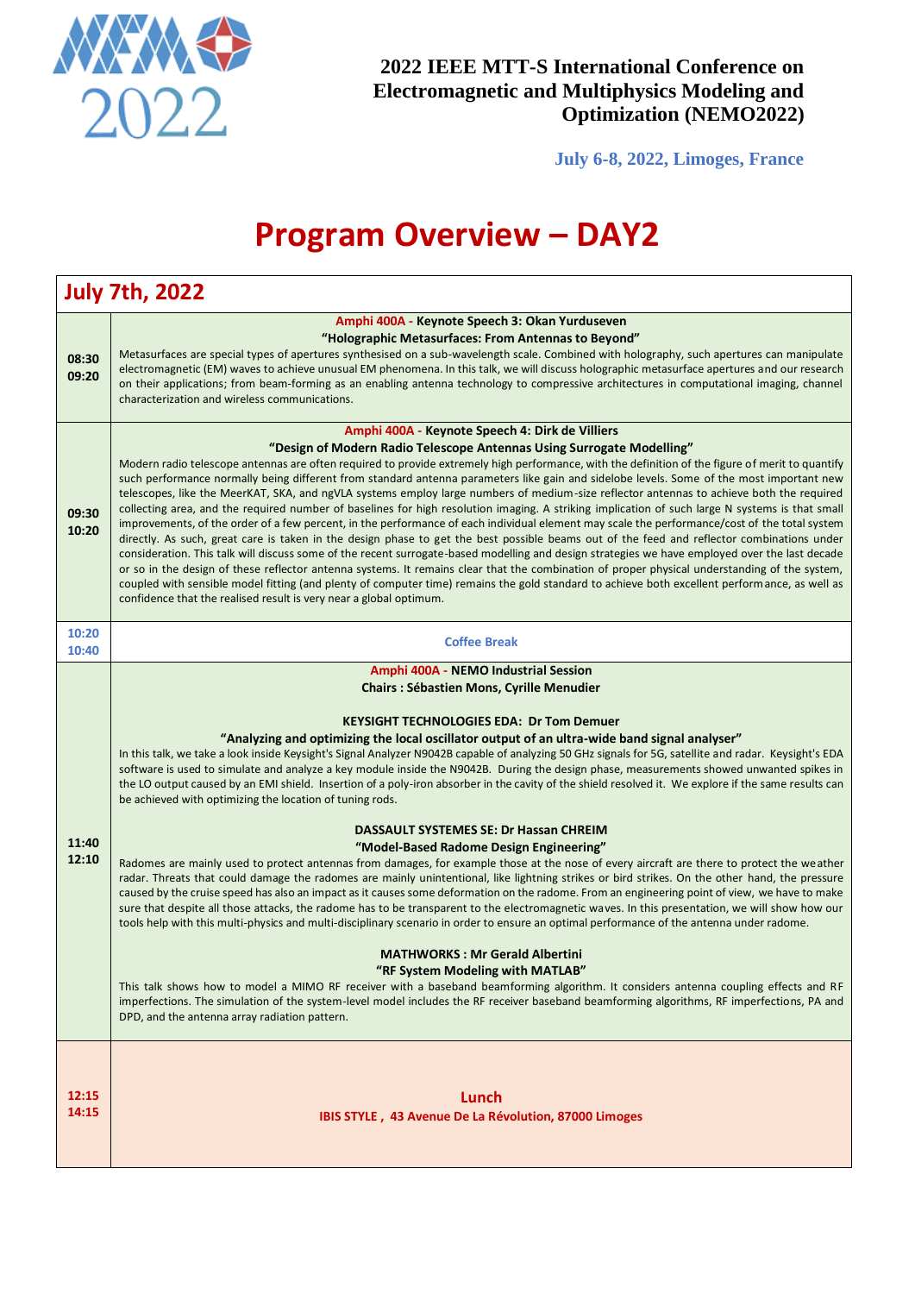

**July 6-8, 2022, Limoges, France**

# **Program Overview – DAY2**

|                | <b>July 7th, 2022</b>                                                                                                                                                                                                                                                                                                                                                                                                                                                                                                                                                                                                                                                                                                                                                                                                                                                                                                                                                                                                                                                                                                                                                                                                                                                                                                                                                                                                                                                                                                                                                                                                                                                                                                                                                                                                                                                                                                                                                                                                              |
|----------------|------------------------------------------------------------------------------------------------------------------------------------------------------------------------------------------------------------------------------------------------------------------------------------------------------------------------------------------------------------------------------------------------------------------------------------------------------------------------------------------------------------------------------------------------------------------------------------------------------------------------------------------------------------------------------------------------------------------------------------------------------------------------------------------------------------------------------------------------------------------------------------------------------------------------------------------------------------------------------------------------------------------------------------------------------------------------------------------------------------------------------------------------------------------------------------------------------------------------------------------------------------------------------------------------------------------------------------------------------------------------------------------------------------------------------------------------------------------------------------------------------------------------------------------------------------------------------------------------------------------------------------------------------------------------------------------------------------------------------------------------------------------------------------------------------------------------------------------------------------------------------------------------------------------------------------------------------------------------------------------------------------------------------------|
| 08:30<br>09:20 | Amphi 400A - Keynote Speech 3: Okan Yurduseven<br>"Holographic Metasurfaces: From Antennas to Beyond"<br>Metasurfaces are special types of apertures synthesised on a sub-wavelength scale. Combined with holography, such apertures can manipulate<br>electromagnetic (EM) waves to achieve unusual EM phenomena. In this talk, we will discuss holographic metasurface apertures and our research<br>on their applications; from beam-forming as an enabling antenna technology to compressive architectures in computational imaging, channel<br>characterization and wireless communications.                                                                                                                                                                                                                                                                                                                                                                                                                                                                                                                                                                                                                                                                                                                                                                                                                                                                                                                                                                                                                                                                                                                                                                                                                                                                                                                                                                                                                                  |
| 09:30<br>10:20 | Amphi 400A - Keynote Speech 4: Dirk de Villiers<br>"Design of Modern Radio Telescope Antennas Using Surrogate Modelling"<br>Modern radio telescope antennas are often required to provide extremely high performance, with the definition of the figure of merit to quantify<br>such performance normally being different from standard antenna parameters like gain and sidelobe levels. Some of the most important new<br>telescopes, like the MeerKAT, SKA, and ngVLA systems employ large numbers of medium-size reflector antennas to achieve both the required<br>collecting area, and the required number of baselines for high resolution imaging. A striking implication of such large N systems is that small<br>improvements, of the order of a few percent, in the performance of each individual element may scale the performance/cost of the total system<br>directly. As such, great care is taken in the design phase to get the best possible beams out of the feed and reflector combinations under<br>consideration. This talk will discuss some of the recent surrogate-based modelling and design strategies we have employed over the last decade<br>or so in the design of these reflector antenna systems. It remains clear that the combination of proper physical understanding of the system,<br>coupled with sensible model fitting (and plenty of computer time) remains the gold standard to achieve both excellent performance, as well as<br>confidence that the realised result is very near a global optimum.                                                                                                                                                                                                                                                                                                                                                                                                                                                                                   |
| 10:20<br>10:40 | <b>Coffee Break</b>                                                                                                                                                                                                                                                                                                                                                                                                                                                                                                                                                                                                                                                                                                                                                                                                                                                                                                                                                                                                                                                                                                                                                                                                                                                                                                                                                                                                                                                                                                                                                                                                                                                                                                                                                                                                                                                                                                                                                                                                                |
| 11:40<br>12:10 | Amphi 400A - NEMO Industrial Session<br><b>Chairs: Sébastien Mons, Cyrille Menudier</b><br><b>KEYSIGHT TECHNOLOGIES EDA: Dr Tom Demuer</b><br>"Analyzing and optimizing the local oscillator output of an ultra-wide band signal analyser"<br>In this talk, we take a look inside Keysight's Signal Analyzer N9042B capable of analyzing 50 GHz signals for 5G, satellite and radar. Keysight's EDA<br>software is used to simulate and analyze a key module inside the N9042B. During the design phase, measurements showed unwanted spikes in<br>the LO output caused by an EMI shield. Insertion of a poly-iron absorber in the cavity of the shield resolved it. We explore if the same results can<br>be achieved with optimizing the location of tuning rods.<br><b>DASSAULT SYSTEMES SE: Dr Hassan CHREIM</b><br>"Model-Based Radome Design Engineering"<br>Radomes are mainly used to protect antennas from damages, for example those at the nose of every aircraft are there to protect the weather<br>radar. Threats that could damage the radomes are mainly unintentional, like lightning strikes or bird strikes. On the other hand, the pressure<br>caused by the cruise speed has also an impact as it causes some deformation on the radome. From an engineering point of view, we have to make<br>sure that despite all those attacks, the radome has to be transparent to the electromagnetic waves. In this presentation, we will show how our<br>tools help with this multi-physics and multi-disciplinary scenario in order to ensure an optimal performance of the antenna under radome.<br><b>MATHWORKS: Mr Gerald Albertini</b><br>"RF System Modeling with MATLAB"<br>This talk shows how to model a MIMO RF receiver with a baseband beamforming algorithm. It considers antenna coupling effects and RF<br>imperfections. The simulation of the system-level model includes the RF receiver baseband beamforming algorithms, RF imperfections, PA and<br>DPD, and the antenna array radiation pattern. |
| 12:15<br>14:15 | Lunch<br>IBIS STYLE, 43 Avenue De La Révolution, 87000 Limoges                                                                                                                                                                                                                                                                                                                                                                                                                                                                                                                                                                                                                                                                                                                                                                                                                                                                                                                                                                                                                                                                                                                                                                                                                                                                                                                                                                                                                                                                                                                                                                                                                                                                                                                                                                                                                                                                                                                                                                     |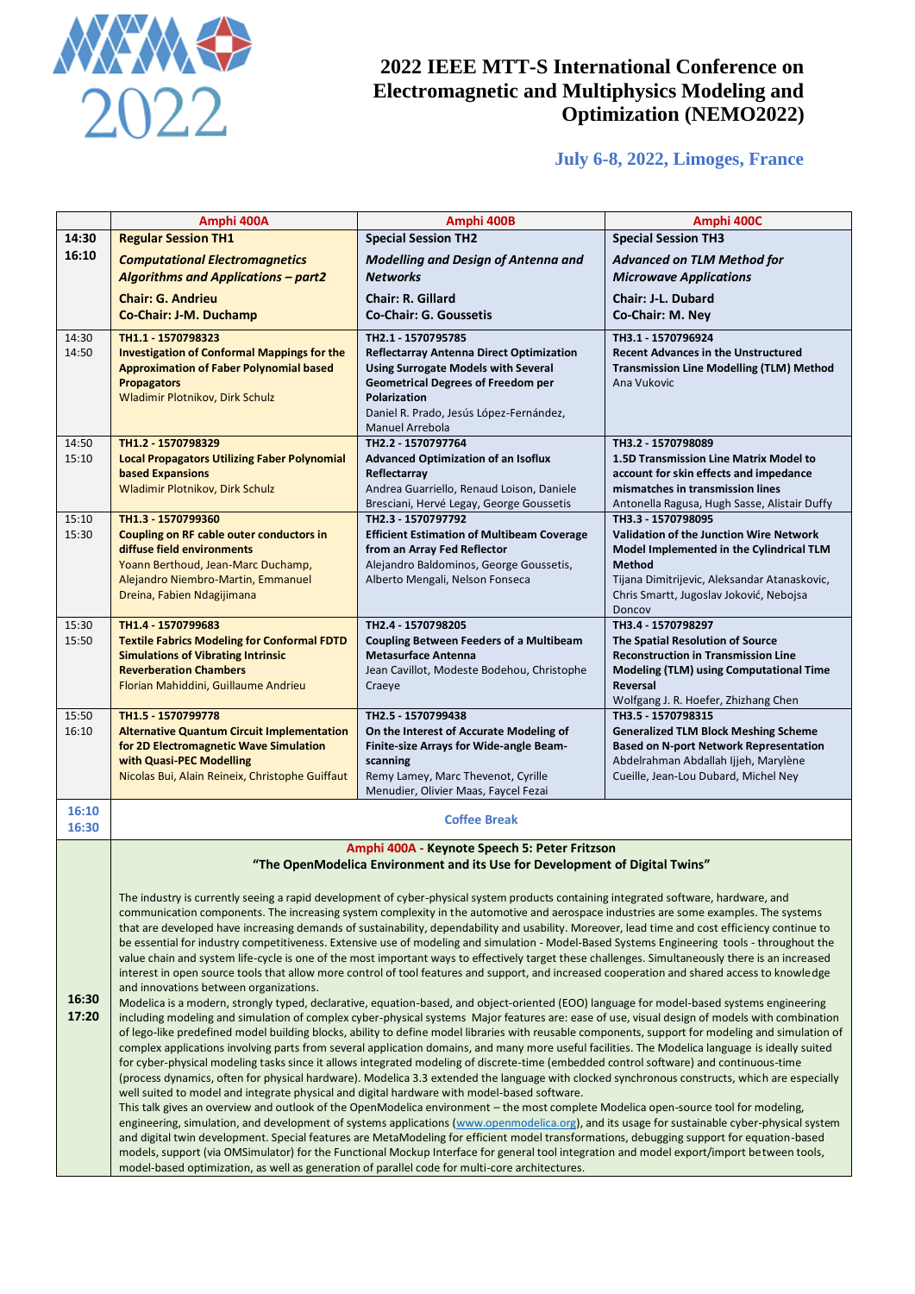

## **July 6-8, 2022, Limoges, France**

|                                        | Amphi 400A                                                                                                                                                                                                                                                                                           | Amphi 400B                                                                                                                                       | Amphi 400C                                                                              |
|----------------------------------------|------------------------------------------------------------------------------------------------------------------------------------------------------------------------------------------------------------------------------------------------------------------------------------------------------|--------------------------------------------------------------------------------------------------------------------------------------------------|-----------------------------------------------------------------------------------------|
| 14:30                                  | <b>Regular Session TH1</b>                                                                                                                                                                                                                                                                           | <b>Special Session TH2</b>                                                                                                                       | <b>Special Session TH3</b>                                                              |
| 16:10                                  | <b>Computational Electromagnetics</b>                                                                                                                                                                                                                                                                | <b>Modelling and Design of Antenna and</b>                                                                                                       | <b>Advanced on TLM Method for</b>                                                       |
|                                        | <b>Algorithms and Applications - part2</b>                                                                                                                                                                                                                                                           | <b>Networks</b>                                                                                                                                  | <b>Microwave Applications</b>                                                           |
|                                        |                                                                                                                                                                                                                                                                                                      | <b>Chair: R. Gillard</b>                                                                                                                         | <b>Chair: J-L. Dubard</b>                                                               |
|                                        | <b>Chair: G. Andrieu</b>                                                                                                                                                                                                                                                                             |                                                                                                                                                  |                                                                                         |
|                                        | Co-Chair: J-M. Duchamp                                                                                                                                                                                                                                                                               | <b>Co-Chair: G. Goussetis</b>                                                                                                                    | Co-Chair: M. Nev                                                                        |
| 14:30                                  | TH1.1 - 1570798323                                                                                                                                                                                                                                                                                   | TH2.1 - 1570795785                                                                                                                               | TH3.1 - 1570796924                                                                      |
| 14:50                                  | <b>Investigation of Conformal Mappings for the</b>                                                                                                                                                                                                                                                   | Reflectarray Antenna Direct Optimization                                                                                                         | <b>Recent Advances in the Unstructured</b>                                              |
|                                        | <b>Approximation of Faber Polynomial based</b>                                                                                                                                                                                                                                                       | <b>Using Surrogate Models with Several</b>                                                                                                       | <b>Transmission Line Modelling (TLM) Method</b>                                         |
|                                        | <b>Propagators</b>                                                                                                                                                                                                                                                                                   | <b>Geometrical Degrees of Freedom per</b>                                                                                                        | Ana Vukovic                                                                             |
|                                        | <b>Wladimir Plotnikov, Dirk Schulz</b>                                                                                                                                                                                                                                                               | Polarization<br>Daniel R. Prado, Jesús López-Fernández,                                                                                          |                                                                                         |
|                                        |                                                                                                                                                                                                                                                                                                      | Manuel Arrebola                                                                                                                                  |                                                                                         |
| 14:50                                  | TH1.2 - 1570798329                                                                                                                                                                                                                                                                                   | TH2.2 - 1570797764                                                                                                                               | TH3.2 - 1570798089                                                                      |
| 15:10                                  | <b>Local Propagators Utilizing Faber Polynomial</b>                                                                                                                                                                                                                                                  | <b>Advanced Optimization of an Isoflux</b>                                                                                                       | 1.5D Transmission Line Matrix Model to                                                  |
|                                        | <b>based Expansions</b>                                                                                                                                                                                                                                                                              | Reflectarray                                                                                                                                     | account for skin effects and impedance                                                  |
|                                        | Wladimir Plotnikov, Dirk Schulz                                                                                                                                                                                                                                                                      | Andrea Guarriello, Renaud Loison, Daniele                                                                                                        | mismatches in transmission lines                                                        |
|                                        |                                                                                                                                                                                                                                                                                                      | Bresciani, Hervé Legay, George Goussetis                                                                                                         | Antonella Ragusa, Hugh Sasse, Alistair Duffy                                            |
| 15:10                                  | TH1.3 - 1570799360                                                                                                                                                                                                                                                                                   | TH2.3 - 1570797792                                                                                                                               | TH3.3 - 1570798095                                                                      |
| 15:30                                  | <b>Coupling on RF cable outer conductors in</b>                                                                                                                                                                                                                                                      | <b>Efficient Estimation of Multibeam Coverage</b>                                                                                                | <b>Validation of the Junction Wire Network</b>                                          |
|                                        | diffuse field environments                                                                                                                                                                                                                                                                           | from an Array Fed Reflector                                                                                                                      | Model Implemented in the Cylindrical TLM                                                |
|                                        | Yoann Berthoud, Jean-Marc Duchamp,                                                                                                                                                                                                                                                                   | Alejandro Baldominos, George Goussetis,                                                                                                          | <b>Method</b>                                                                           |
|                                        | Alejandro Niembro-Martin, Emmanuel<br>Dreina, Fabien Ndagijimana                                                                                                                                                                                                                                     | Alberto Mengali, Nelson Fonseca                                                                                                                  | Tijana Dimitrijevic, Aleksandar Atanaskovic,<br>Chris Smartt, Jugoslav Joković, Nebojsa |
|                                        |                                                                                                                                                                                                                                                                                                      |                                                                                                                                                  | Doncov                                                                                  |
| 15:30                                  | TH1.4 - 1570799683                                                                                                                                                                                                                                                                                   | TH3.4 - 1570798297<br>TH2.4 - 1570798205                                                                                                         |                                                                                         |
| 15:50                                  | <b>Textile Fabrics Modeling for Conformal FDTD</b>                                                                                                                                                                                                                                                   | <b>Coupling Between Feeders of a Multibeam</b>                                                                                                   | The Spatial Resolution of Source                                                        |
|                                        | <b>Simulations of Vibrating Intrinsic</b>                                                                                                                                                                                                                                                            | <b>Metasurface Antenna</b>                                                                                                                       | <b>Reconstruction in Transmission Line</b>                                              |
|                                        | <b>Reverberation Chambers</b>                                                                                                                                                                                                                                                                        | Jean Cavillot, Modeste Bodehou, Christophe                                                                                                       | <b>Modeling (TLM) using Computational Time</b>                                          |
|                                        | Florian Mahiddini, Guillaume Andrieu                                                                                                                                                                                                                                                                 | Craeye                                                                                                                                           | Reversal                                                                                |
|                                        |                                                                                                                                                                                                                                                                                                      |                                                                                                                                                  | Wolfgang J. R. Hoefer, Zhizhang Chen                                                    |
| 15:50                                  | TH1.5 1570799778                                                                                                                                                                                                                                                                                     | TH2.5 - 1570799438                                                                                                                               | TH3.5 - 1570798315                                                                      |
| 16:10                                  | <b>Alternative Quantum Circuit Implementation</b>                                                                                                                                                                                                                                                    | On the Interest of Accurate Modeling of                                                                                                          | <b>Generalized TLM Block Meshing Scheme</b>                                             |
|                                        | for 2D Electromagnetic Wave Simulation<br>with Quasi-PEC Modelling                                                                                                                                                                                                                                   | Finite-size Arrays for Wide-angle Beam-<br>scanning                                                                                              | <b>Based on N-port Network Representation</b><br>Abdelrahman Abdallah Ijjeh, Marylène   |
|                                        | Nicolas Bui, Alain Reineix, Christophe Guiffaut                                                                                                                                                                                                                                                      | Remy Lamey, Marc Thevenot, Cyrille                                                                                                               | Cueille, Jean-Lou Dubard, Michel Ney                                                    |
|                                        |                                                                                                                                                                                                                                                                                                      | Menudier, Olivier Maas, Faycel Fezai                                                                                                             |                                                                                         |
| 16:10                                  |                                                                                                                                                                                                                                                                                                      |                                                                                                                                                  |                                                                                         |
| 16:30                                  |                                                                                                                                                                                                                                                                                                      | <b>Coffee Break</b>                                                                                                                              |                                                                                         |
|                                        |                                                                                                                                                                                                                                                                                                      |                                                                                                                                                  |                                                                                         |
|                                        |                                                                                                                                                                                                                                                                                                      | Amphi 400A - Keynote Speech 5: Peter Fritzson                                                                                                    |                                                                                         |
|                                        |                                                                                                                                                                                                                                                                                                      | "The OpenModelica Environment and its Use for Development of Digital Twins"                                                                      |                                                                                         |
|                                        |                                                                                                                                                                                                                                                                                                      | The industry is currently seeing a rapid development of cyber-physical system products containing integrated software, hardware, and             |                                                                                         |
|                                        |                                                                                                                                                                                                                                                                                                      | communication components. The increasing system complexity in the automotive and aerospace industries are some examples. The systems             |                                                                                         |
|                                        |                                                                                                                                                                                                                                                                                                      | that are developed have increasing demands of sustainability, dependability and usability. Moreover, lead time and cost efficiency continue to   |                                                                                         |
|                                        |                                                                                                                                                                                                                                                                                                      | be essential for industry competitiveness. Extensive use of modeling and simulation - Model-Based Systems Engineering tools - throughout the     |                                                                                         |
|                                        |                                                                                                                                                                                                                                                                                                      | value chain and system life-cycle is one of the most important ways to effectively target these challenges. Simultaneously there is an increased |                                                                                         |
|                                        | interest in open source tools that allow more control of tool features and support, and increased cooperation and shared access to knowledge                                                                                                                                                         |                                                                                                                                                  |                                                                                         |
| and innovations between organizations. |                                                                                                                                                                                                                                                                                                      |                                                                                                                                                  |                                                                                         |
| 16:30                                  |                                                                                                                                                                                                                                                                                                      | Modelica is a modern, strongly typed, declarative, equation-based, and object-oriented (EOO) language for model-based systems engineering        |                                                                                         |
| 17:20                                  | including modeling and simulation of complex cyber-physical systems Major features are: ease of use, visual design of models with combination                                                                                                                                                        |                                                                                                                                                  |                                                                                         |
|                                        | of lego-like predefined model building blocks, ability to define model libraries with reusable components, support for modeling and simulation of<br>complex applications involving parts from several application domains, and many more useful facilities. The Modelica language is ideally suited |                                                                                                                                                  |                                                                                         |
|                                        | for cyber-physical modeling tasks since it allows integrated modeling of discrete-time (embedded control software) and continuous-time                                                                                                                                                               |                                                                                                                                                  |                                                                                         |
|                                        | (process dynamics, often for physical hardware). Modelica 3.3 extended the language with clocked synchronous constructs, which are especially                                                                                                                                                        |                                                                                                                                                  |                                                                                         |
|                                        | well suited to model and integrate physical and digital hardware with model-based software.                                                                                                                                                                                                          |                                                                                                                                                  |                                                                                         |
|                                        | This talk gives an overview and outlook of the OpenModelica environment – the most complete Modelica open-source tool for modeling,                                                                                                                                                                  |                                                                                                                                                  |                                                                                         |
|                                        | engineering, simulation, and development of systems applications (www.openmodelica.org), and its usage for sustainable cyber-physical system                                                                                                                                                         |                                                                                                                                                  |                                                                                         |
|                                        | and digital twin development. Special features are MetaModeling for efficient model transformations, debugging support for equation-based<br>models, support (via OMSimulator) for the Functional Mockup Interface for general tool integration and model export/import between tools,               |                                                                                                                                                  |                                                                                         |
|                                        |                                                                                                                                                                                                                                                                                                      |                                                                                                                                                  |                                                                                         |

model-based optimization, as well as generation of parallel code for multi-core architectures.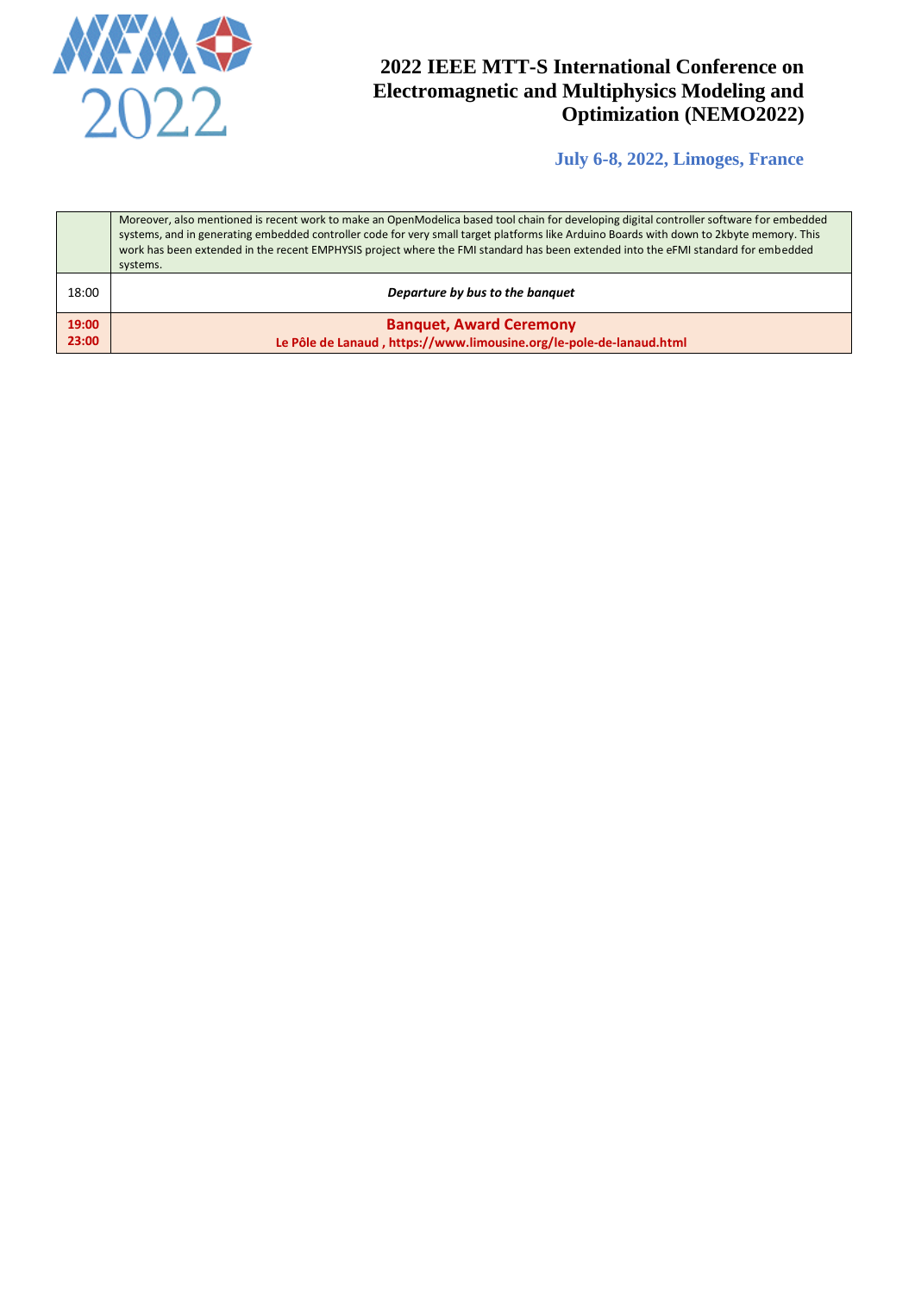

**July 6-8, 2022, Limoges, France**

|                | Moreover, also mentioned is recent work to make an OpenModelica based tool chain for developing digital controller software for embedded<br>systems, and in generating embedded controller code for very small target platforms like Arduino Boards with down to 2kbyte memory. This<br>work has been extended in the recent EMPHYSIS project where the FMI standard has been extended into the eFMI standard for embedded<br>systems. |  |
|----------------|----------------------------------------------------------------------------------------------------------------------------------------------------------------------------------------------------------------------------------------------------------------------------------------------------------------------------------------------------------------------------------------------------------------------------------------|--|
| 18:00          | Departure by bus to the banquet                                                                                                                                                                                                                                                                                                                                                                                                        |  |
| 19:00<br>23:00 | <b>Banquet, Award Ceremony</b><br>Le Pôle de Lanaud, https://www.limousine.org/le-pole-de-lanaud.html                                                                                                                                                                                                                                                                                                                                  |  |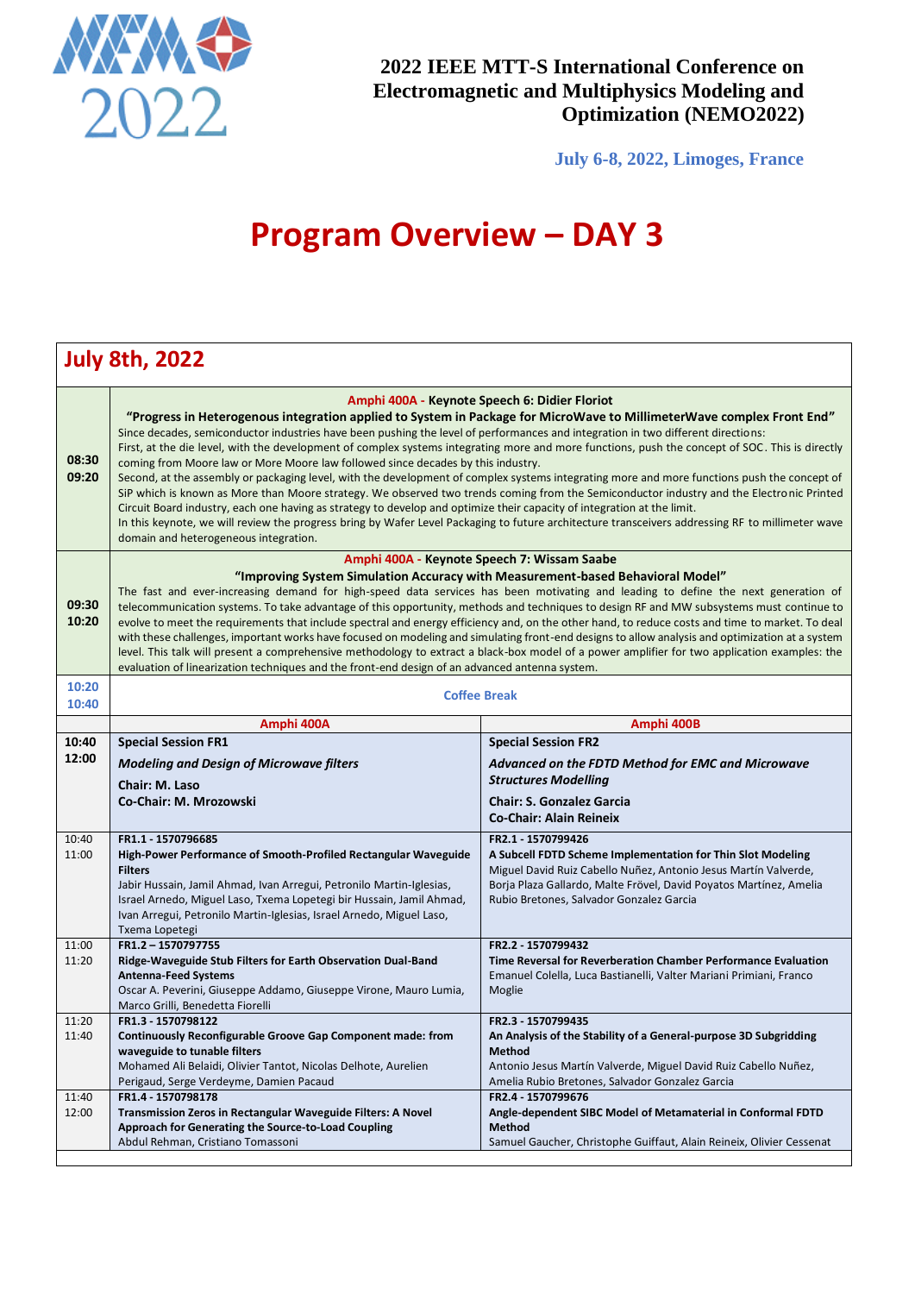

r

**2022 IEEE MTT-S International Conference on Electromagnetic and Multiphysics Modeling and Optimization (NEMO2022)**

**July 6-8, 2022, Limoges, France**

# **Program Overview - DAY 3**

|                | <b>July 8th, 2022</b>                                                                                                                                                                                                                                                                                                                                                                                                                                                                                                                                                                                                                                                                                                                                                                                                                                                                                                                                                                                                                                                                                                                                                |                                                                                                                                                                                                                                                                        |  |
|----------------|----------------------------------------------------------------------------------------------------------------------------------------------------------------------------------------------------------------------------------------------------------------------------------------------------------------------------------------------------------------------------------------------------------------------------------------------------------------------------------------------------------------------------------------------------------------------------------------------------------------------------------------------------------------------------------------------------------------------------------------------------------------------------------------------------------------------------------------------------------------------------------------------------------------------------------------------------------------------------------------------------------------------------------------------------------------------------------------------------------------------------------------------------------------------|------------------------------------------------------------------------------------------------------------------------------------------------------------------------------------------------------------------------------------------------------------------------|--|
| 08:30<br>09:20 | Amphi 400A - Keynote Speech 6: Didier Floriot<br>"Progress in Heterogenous integration applied to System in Package for MicroWave to MillimeterWave complex Front End"<br>Since decades, semiconductor industries have been pushing the level of performances and integration in two different directions:<br>First, at the die level, with the development of complex systems integrating more and more functions, push the concept of SOC. This is directly<br>coming from Moore law or More Moore law followed since decades by this industry.<br>Second, at the assembly or packaging level, with the development of complex systems integrating more and more functions push the concept of<br>SiP which is known as More than Moore strategy. We observed two trends coming from the Semiconductor industry and the Electronic Printed<br>Circuit Board industry, each one having as strategy to develop and optimize their capacity of integration at the limit.<br>In this keynote, we will review the progress bring by Wafer Level Packaging to future architecture transceivers addressing RF to millimeter wave<br>domain and heterogeneous integration. |                                                                                                                                                                                                                                                                        |  |
| 09:30<br>10:20 | Amphi 400A - Keynote Speech 7: Wissam Saabe<br>"Improving System Simulation Accuracy with Measurement-based Behavioral Model"<br>The fast and ever-increasing demand for high-speed data services has been motivating and leading to define the next generation of<br>telecommunication systems. To take advantage of this opportunity, methods and techniques to design RF and MW subsystems must continue to<br>evolve to meet the requirements that include spectral and energy efficiency and, on the other hand, to reduce costs and time to market. To deal<br>with these challenges, important works have focused on modeling and simulating front-end designs to allow analysis and optimization at a system<br>level. This talk will present a comprehensive methodology to extract a black-box model of a power amplifier for two application examples: the<br>evaluation of linearization techniques and the front-end design of an advanced antenna system.                                                                                                                                                                                              |                                                                                                                                                                                                                                                                        |  |
| 10:20          | <b>Coffee Break</b>                                                                                                                                                                                                                                                                                                                                                                                                                                                                                                                                                                                                                                                                                                                                                                                                                                                                                                                                                                                                                                                                                                                                                  |                                                                                                                                                                                                                                                                        |  |
| 10:40          | Amphi 400A<br>Amphi 400B                                                                                                                                                                                                                                                                                                                                                                                                                                                                                                                                                                                                                                                                                                                                                                                                                                                                                                                                                                                                                                                                                                                                             |                                                                                                                                                                                                                                                                        |  |
| 10:40          | <b>Special Session FR1</b>                                                                                                                                                                                                                                                                                                                                                                                                                                                                                                                                                                                                                                                                                                                                                                                                                                                                                                                                                                                                                                                                                                                                           | <b>Special Session FR2</b>                                                                                                                                                                                                                                             |  |
| 12:00          | <b>Modeling and Design of Microwave filters</b><br>Chair: M. Laso<br>Co-Chair: M. Mrozowski                                                                                                                                                                                                                                                                                                                                                                                                                                                                                                                                                                                                                                                                                                                                                                                                                                                                                                                                                                                                                                                                          | Advanced on the FDTD Method for EMC and Microwave<br><b>Structures Modelling</b><br><b>Chair: S. Gonzalez Garcia</b><br><b>Co-Chair: Alain Reineix</b>                                                                                                                 |  |
| 10:40<br>11:00 | FR1.1 - 1570796685<br>High-Power Performance of Smooth-Profiled Rectangular Waveguide<br><b>Filters</b><br>Jabir Hussain, Jamil Ahmad, Ivan Arregui, Petronilo Martin-Iglesias,<br>Israel Arnedo, Miguel Laso, Txema Lopetegi bir Hussain, Jamil Ahmad,<br>Ivan Arregui, Petronilo Martin-Iglesias, Israel Arnedo, Miguel Laso,<br>Txema Lopetegi                                                                                                                                                                                                                                                                                                                                                                                                                                                                                                                                                                                                                                                                                                                                                                                                                    | FR2.1 - 1570799426<br>A Subcell FDTD Scheme Implementation for Thin Slot Modeling<br>Miguel David Ruiz Cabello Nuñez, Antonio Jesus Martín Valverde,<br>Borja Plaza Gallardo, Malte Frövel, David Poyatos Martínez, Amelia<br>Rubio Bretones, Salvador Gonzalez Garcia |  |
| 11:00<br>11:20 | FR1.2-1570797755<br>Ridge-Waveguide Stub Filters for Earth Observation Dual-Band<br><b>Antenna-Feed Systems</b><br>Oscar A. Peverini, Giuseppe Addamo, Giuseppe Virone, Mauro Lumia,<br>Marco Grilli, Benedetta Fiorelli                                                                                                                                                                                                                                                                                                                                                                                                                                                                                                                                                                                                                                                                                                                                                                                                                                                                                                                                             | FR2.2 - 1570799432<br>Time Reversal for Reverberation Chamber Performance Evaluation<br>Emanuel Colella, Luca Bastianelli, Valter Mariani Primiani, Franco<br>Moglie                                                                                                   |  |
| 11:20<br>11:40 | FR1.3 - 1570798122<br>Continuously Reconfigurable Groove Gap Component made: from<br>waveguide to tunable filters<br>Mohamed Ali Belaidi, Olivier Tantot, Nicolas Delhote, Aurelien<br>Perigaud, Serge Verdeyme, Damien Pacaud                                                                                                                                                                                                                                                                                                                                                                                                                                                                                                                                                                                                                                                                                                                                                                                                                                                                                                                                       | FR2.3 - 1570799435<br>An Analysis of the Stability of a General-purpose 3D Subgridding<br>Method<br>Antonio Jesus Martín Valverde, Miguel David Ruiz Cabello Nuñez,<br>Amelia Rubio Bretones, Salvador Gonzalez Garcia                                                 |  |
| 11:40<br>12:00 | FR1.4 - 1570798178<br>Transmission Zeros in Rectangular Waveguide Filters: A Novel<br>Approach for Generating the Source-to-Load Coupling<br>Abdul Rehman, Cristiano Tomassoni                                                                                                                                                                                                                                                                                                                                                                                                                                                                                                                                                                                                                                                                                                                                                                                                                                                                                                                                                                                       | FR2.4 - 1570799676<br>Angle-dependent SIBC Model of Metamaterial in Conformal FDTD<br>Method<br>Samuel Gaucher, Christophe Guiffaut, Alain Reineix, Olivier Cessenat                                                                                                   |  |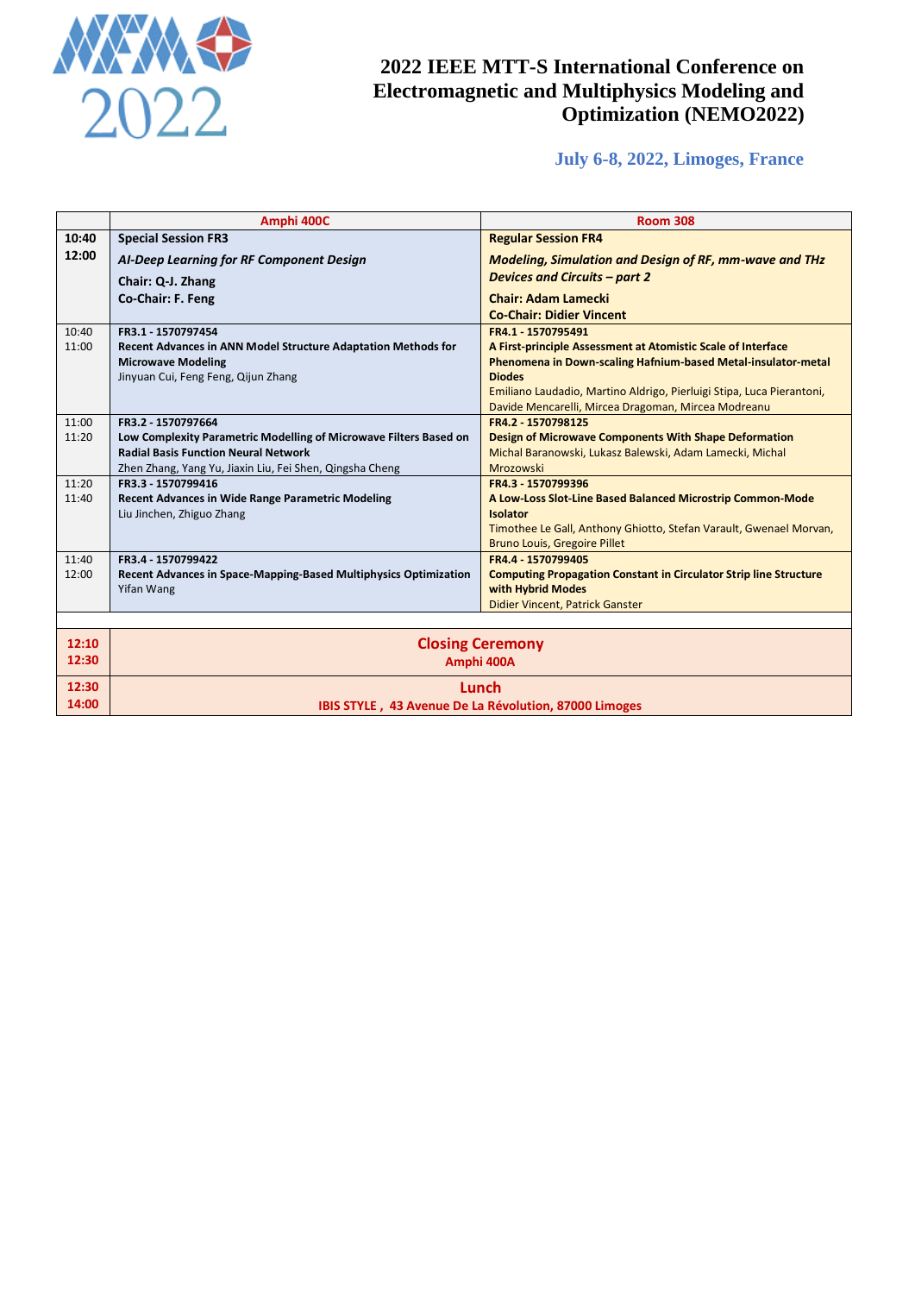

## **July 6-8, 2022, Limoges, France**

|       | Amphi 400C                                                           | <b>Room 308</b>                                                           |  |  |
|-------|----------------------------------------------------------------------|---------------------------------------------------------------------------|--|--|
| 10:40 | <b>Special Session FR3</b>                                           | <b>Regular Session FR4</b>                                                |  |  |
| 12:00 |                                                                      |                                                                           |  |  |
|       | AI-Deep Learning for RF Component Design                             | <b>Modeling, Simulation and Design of RF, mm-wave and THz</b>             |  |  |
|       | Chair: Q-J. Zhang                                                    | <b>Devices and Circuits - part 2</b>                                      |  |  |
|       | Co-Chair: F. Feng                                                    | <b>Chair: Adam Lamecki</b>                                                |  |  |
|       |                                                                      | <b>Co-Chair: Didier Vincent</b>                                           |  |  |
| 10:40 | FR3.1 - 1570797454                                                   | FR4.1 - 1570795491                                                        |  |  |
| 11:00 | <b>Recent Advances in ANN Model Structure Adaptation Methods for</b> | A First-principle Assessment at Atomistic Scale of Interface              |  |  |
|       | <b>Microwave Modeling</b>                                            | Phenomena in Down-scaling Hafnium-based Metal-insulator-metal             |  |  |
|       | Jinyuan Cui, Feng Feng, Qijun Zhang                                  | <b>Diodes</b>                                                             |  |  |
|       |                                                                      | Emiliano Laudadio, Martino Aldrigo, Pierluigi Stipa, Luca Pierantoni,     |  |  |
| 11:00 | FR3.2 - 1570797664                                                   | Davide Mencarelli, Mircea Dragoman, Mircea Modreanu<br>FR4.2 - 1570798125 |  |  |
| 11:20 | Low Complexity Parametric Modelling of Microwave Filters Based on    | Design of Microwave Components With Shape Deformation                     |  |  |
|       | <b>Radial Basis Function Neural Network</b>                          | Michal Baranowski, Lukasz Balewski, Adam Lamecki, Michal                  |  |  |
|       | Zhen Zhang, Yang Yu, Jiaxin Liu, Fei Shen, Qingsha Cheng             | Mrozowski                                                                 |  |  |
| 11:20 | FR3.3 - 1570799416                                                   | FR4.3 - 1570799396                                                        |  |  |
| 11:40 | <b>Recent Advances in Wide Range Parametric Modeling</b>             | A Low-Loss Slot-Line Based Balanced Microstrip Common-Mode                |  |  |
|       | Liu Jinchen, Zhiguo Zhang                                            | <b>Isolator</b>                                                           |  |  |
|       |                                                                      | Timothee Le Gall, Anthony Ghiotto, Stefan Varault, Gwenael Morvan,        |  |  |
|       |                                                                      | <b>Bruno Louis, Gregoire Pillet</b>                                       |  |  |
| 11:40 | FR3.4 - 1570799422                                                   | FR4.4 - 1570799405                                                        |  |  |
| 12:00 | Recent Advances in Space-Mapping-Based Multiphysics Optimization     | <b>Computing Propagation Constant in Circulator Strip line Structure</b>  |  |  |
|       | Yifan Wang                                                           | with Hybrid Modes                                                         |  |  |
|       |                                                                      | Didier Vincent, Patrick Ganster                                           |  |  |
|       |                                                                      |                                                                           |  |  |
| 12:10 |                                                                      | <b>Closing Ceremony</b>                                                   |  |  |
| 12:30 |                                                                      | Amphi 400A                                                                |  |  |
| 12:30 |                                                                      | Lunch                                                                     |  |  |
| 14:00 | IBIS STYLE, 43 Avenue De La Révolution, 87000 Limoges                |                                                                           |  |  |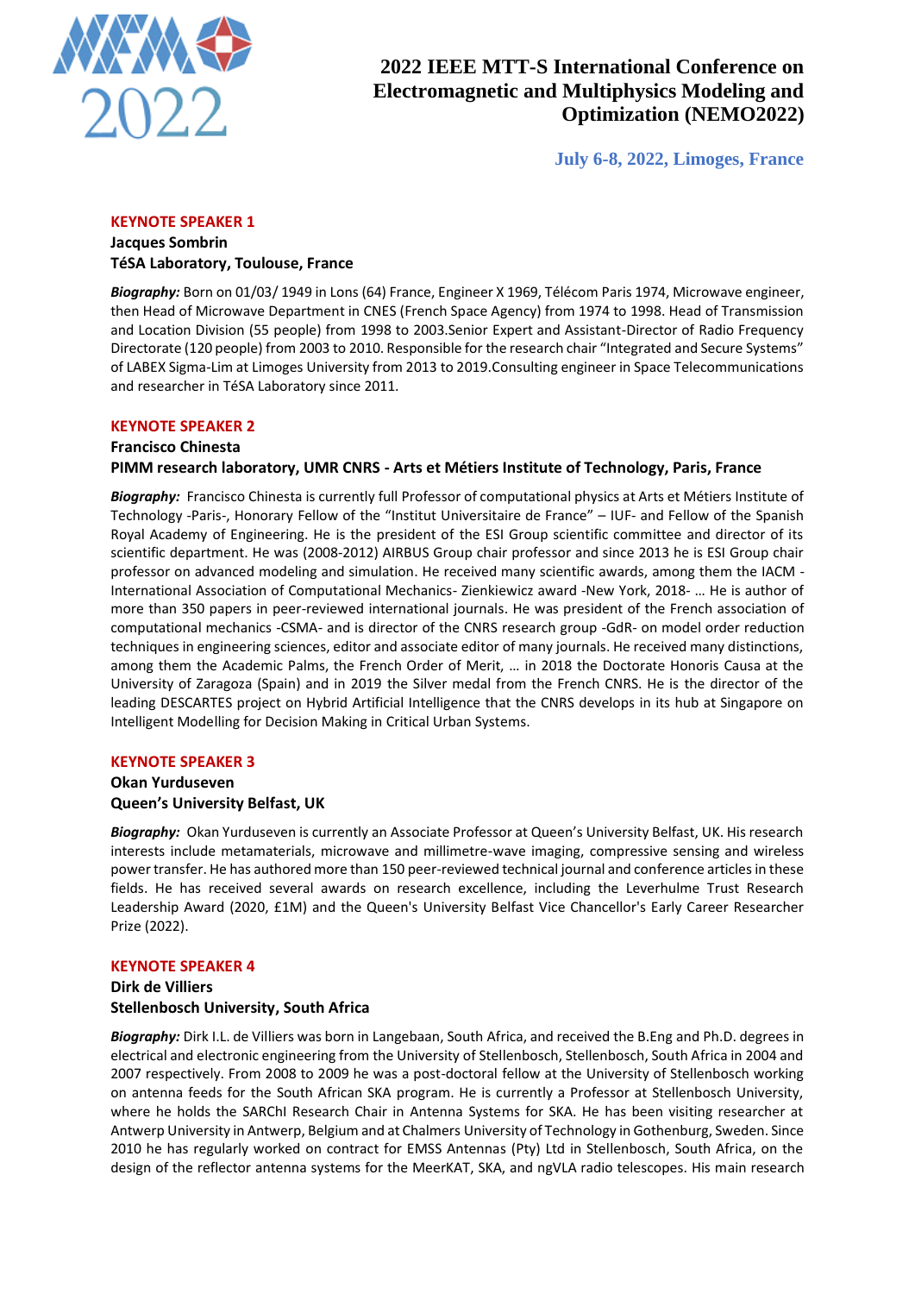

**July 6-8, 2022, Limoges, France**

### **KEYNOTE SPEAKER 1**

#### **Jacques Sombrin TéSA Laboratory, Toulouse, France**

*Biography:* Born on 01/03/ 1949 in Lons (64) France, Engineer X 1969, Télécom Paris 1974, Microwave engineer, then Head of Microwave Department in CNES (French Space Agency) from 1974 to 1998. Head of Transmission and Location Division (55 people) from 1998 to 2003.Senior Expert and Assistant-Director of Radio Frequency Directorate (120 people) from 2003 to 2010. Responsible for the research chair "Integrated and Secure Systems" of LABEX Sigma-Lim at Limoges University from 2013 to 2019.Consulting engineer in Space Telecommunications and researcher in TéSA Laboratory since 2011.

#### **KEYNOTE SPEAKER 2**

### **Francisco Chinesta PIMM research laboratory, UMR CNRS - Arts et Métiers Institute of Technology, Paris, France**

*Biography:* Francisco Chinesta is currently full Professor of computational physics at Arts et Métiers Institute of Technology -Paris-, Honorary Fellow of the "Institut Universitaire de France" – IUF- and Fellow of the Spanish Royal Academy of Engineering. He is the president of the ESI Group scientific committee and director of its scientific department. He was (2008-2012) AIRBUS Group chair professor and since 2013 he is ESI Group chair professor on advanced modeling and simulation. He received many scientific awards, among them the IACM - International Association of Computational Mechanics- Zienkiewicz award -New York, 2018- … He is author of more than 350 papers in peer-reviewed international journals. He was president of the French association of computational mechanics -CSMA- and is director of the CNRS research group -GdR- on model order reduction techniques in engineering sciences, editor and associate editor of many journals. He received many distinctions, among them the Academic Palms, the French Order of Merit, … in 2018 the Doctorate Honoris Causa at the University of Zaragoza (Spain) and in 2019 the Silver medal from the French CNRS. He is the director of the leading DESCARTES project on Hybrid Artificial Intelligence that the CNRS develops in its hub at Singapore on Intelligent Modelling for Decision Making in Critical Urban Systems.

## **KEYNOTE SPEAKER 3**

## **Okan Yurduseven Queen's University Belfast, UK**

*Biography:* Okan Yurduseven is currently an Associate Professor at Queen's University Belfast, UK. His research interests include metamaterials, microwave and millimetre-wave imaging, compressive sensing and wireless power transfer. He has authored more than 150 peer-reviewed technical journal and conference articles in these fields. He has received several awards on research excellence, including the Leverhulme Trust Research Leadership Award (2020, £1M) and the Queen's University Belfast Vice Chancellor's Early Career Researcher Prize (2022).

#### **KEYNOTE SPEAKER 4**

## **Dirk de Villiers Stellenbosch University, South Africa**

*Biography:* Dirk I.L. de Villiers was born in Langebaan, South Africa, and received the B.Eng and Ph.D. degrees in electrical and electronic engineering from the University of Stellenbosch, Stellenbosch, South Africa in 2004 and 2007 respectively. From 2008 to 2009 he was a post-doctoral fellow at the University of Stellenbosch working on antenna feeds for the South African SKA program. He is currently a Professor at Stellenbosch University, where he holds the SARChI Research Chair in Antenna Systems for SKA. He has been visiting researcher at Antwerp University in Antwerp, Belgium and at Chalmers University of Technology in Gothenburg, Sweden. Since 2010 he has regularly worked on contract for EMSS Antennas (Pty) Ltd in Stellenbosch, South Africa, on the design of the reflector antenna systems for the MeerKAT, SKA, and ngVLA radio telescopes. His main research